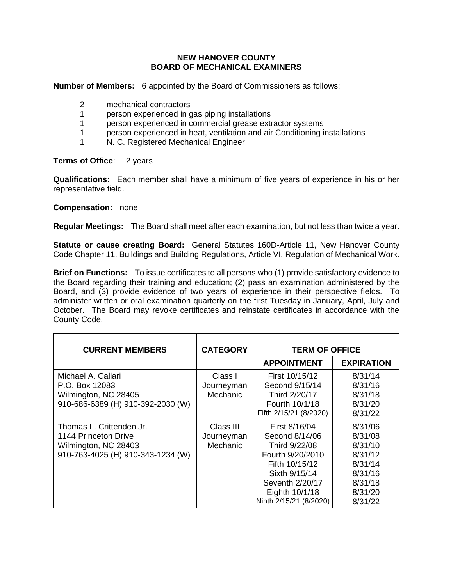## **NEW HANOVER COUNTY BOARD OF MECHANICAL EXAMINERS**

**Number of Members:** 6 appointed by the Board of Commissioners as follows:

- 2 mechanical contractors
- 1 person experienced in gas piping installations
- 1 person experienced in commercial grease extractor systems
- 1 person experienced in heat, ventilation and air Conditioning installations
- 1 N. C. Registered Mechanical Engineer

## **Terms of Office:** 2 years

**Qualifications:** Each member shall have a minimum of five years of experience in his or her representative field.

## **Compensation:** none

**Regular Meetings:** The Board shall meet after each examination, but not less than twice a year.

**Statute or cause creating Board:** General Statutes 160D-Article 11, New Hanover County Code Chapter 11, Buildings and Building Regulations, Article VI, Regulation of Mechanical Work.

**Brief on Functions:** To issue certificates to all persons who (1) provide satisfactory evidence to the Board regarding their training and education; (2) pass an examination administered by the Board, and (3) provide evidence of two years of experience in their perspective fields. To administer written or oral examination quarterly on the first Tuesday in January, April, July and October. The Board may revoke certificates and reinstate certificates in accordance with the County Code.

| <b>CURRENT MEMBERS</b>                                                                                        | <b>CATEGORY</b>                     | <b>TERM OF OFFICE</b>                                                                                                                                                  |                                                                                                 |
|---------------------------------------------------------------------------------------------------------------|-------------------------------------|------------------------------------------------------------------------------------------------------------------------------------------------------------------------|-------------------------------------------------------------------------------------------------|
|                                                                                                               |                                     | <b>APPOINTMENT</b>                                                                                                                                                     | <b>EXPIRATION</b>                                                                               |
| Michael A. Callari<br>P.O. Box 12083<br>Wilmington, NC 28405<br>910-686-6389 (H) 910-392-2030 (W)             | Class I<br>Journeyman<br>Mechanic   | First 10/15/12<br>Second 9/15/14<br>Third 2/20/17<br>Fourth 10/1/18<br>Fifth 2/15/21 (8/2020)                                                                          | 8/31/14<br>8/31/16<br>8/31/18<br>8/31/20<br>8/31/22                                             |
| Thomas L. Crittenden Jr.<br>1144 Princeton Drive<br>Wilmington, NC 28403<br>910-763-4025 (H) 910-343-1234 (W) | Class III<br>Journeyman<br>Mechanic | First 8/16/04<br>Second 8/14/06<br>Third 9/22/08<br>Fourth 9/20/2010<br>Fifth 10/15/12<br>Sixth 9/15/14<br>Seventh 2/20/17<br>Eighth 10/1/18<br>Ninth 2/15/21 (8/2020) | 8/31/06<br>8/31/08<br>8/31/10<br>8/31/12<br>8/31/14<br>8/31/16<br>8/31/18<br>8/31/20<br>8/31/22 |